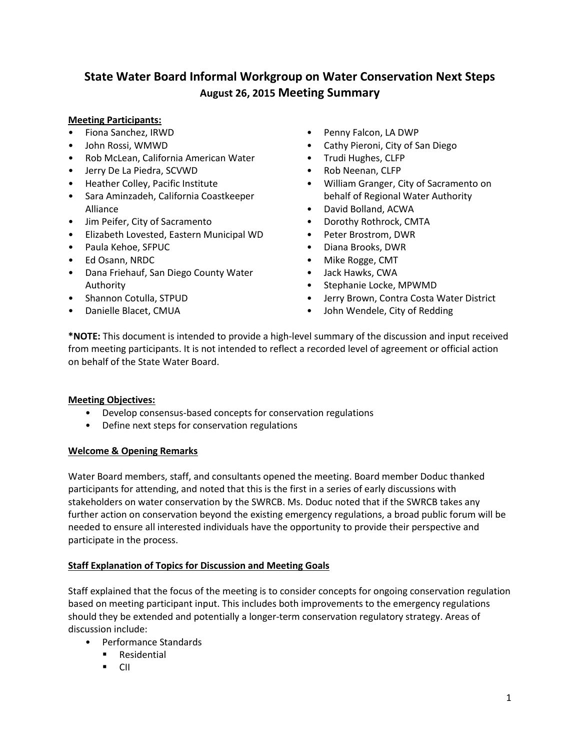# **State Water Board Informal Workgroup on Water Conservation Next Steps August 26, 2015 Meeting Summary**

# **Meeting Participants:**

- Fiona Sanchez, IRWD
- John Rossi, WMWD
- Rob McLean, California American Water
- Jerry De La Piedra, SCVWD
- Heather Colley, Pacific Institute
- Sara Aminzadeh, California Coastkeeper Alliance
- Jim Peifer, City of Sacramento
- Elizabeth Lovested, Eastern Municipal WD
- Paula Kehoe, SFPUC
- Ed Osann, NRDC
- Dana Friehauf, San Diego County Water Authority
- Shannon Cotulla, STPUD
- Danielle Blacet, CMUA
- Penny Falcon, LA DWP
- Cathy Pieroni, City of San Diego
- Trudi Hughes, CLFP
- Rob Neenan, CLFP
- William Granger, City of Sacramento on behalf of Regional Water Authority
- David Bolland, ACWA
- Dorothy Rothrock, CMTA
- Peter Brostrom, DWR
- Diana Brooks, DWR
- Mike Rogge, CMT
- Jack Hawks, CWA
- Stephanie Locke, MPWMD
- Jerry Brown, Contra Costa Water District
- John Wendele, City of Redding

**\*NOTE:** This document is intended to provide a high-level summary of the discussion and input received from meeting participants. It is not intended to reflect a recorded level of agreement or official action on behalf of the State Water Board.

### **Meeting Objectives:**

- Develop consensus-based concepts for conservation regulations
- Define next steps for conservation regulations

### **Welcome & Opening Remarks**

Water Board members, staff, and consultants opened the meeting. Board member Doduc thanked participants for attending, and noted that this is the first in a series of early discussions with stakeholders on water conservation by the SWRCB. Ms. Doduc noted that if the SWRCB takes any further action on conservation beyond the existing emergency regulations, a broad public forum will be needed to ensure all interested individuals have the opportunity to provide their perspective and participate in the process.

### **Staff Explanation of Topics for Discussion and Meeting Goals**

Staff explained that the focus of the meeting is to consider concepts for ongoing conservation regulation based on meeting participant input. This includes both improvements to the emergency regulations should they be extended and potentially a longer-term conservation regulatory strategy. Areas of discussion include:

- Performance Standards
	- **Residential**
	- $\blacksquare$  CII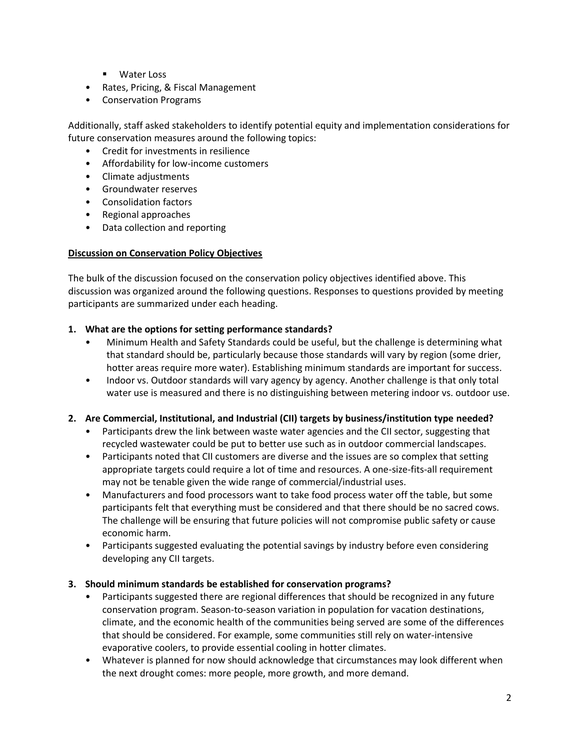- **Water Loss**
- Rates, Pricing, & Fiscal Management
- Conservation Programs

Additionally, staff asked stakeholders to identify potential equity and implementation considerations for future conservation measures around the following topics:

- Credit for investments in resilience
- Affordability for low-income customers
- Climate adjustments
- Groundwater reserves
- Consolidation factors
- Regional approaches
- Data collection and reporting

## **Discussion on Conservation Policy Objectives**

The bulk of the discussion focused on the conservation policy objectives identified above. This discussion was organized around the following questions. Responses to questions provided by meeting participants are summarized under each heading.

# **1. What are the options for setting performance standards?**

- Minimum Health and Safety Standards could be useful, but the challenge is determining what that standard should be, particularly because those standards will vary by region (some drier, hotter areas require more water). Establishing minimum standards are important for success.
- Indoor vs. Outdoor standards will vary agency by agency. Another challenge is that only total water use is measured and there is no distinguishing between metering indoor vs. outdoor use.

# **2. Are Commercial, Institutional, and Industrial (CII) targets by business/institution type needed?**

- Participants drew the link between waste water agencies and the CII sector, suggesting that recycled wastewater could be put to better use such as in outdoor commercial landscapes.
- Participants noted that CII customers are diverse and the issues are so complex that setting appropriate targets could require a lot of time and resources. A one-size-fits-all requirement may not be tenable given the wide range of commercial/industrial uses.
- Manufacturers and food processors want to take food process water off the table, but some participants felt that everything must be considered and that there should be no sacred cows. The challenge will be ensuring that future policies will not compromise public safety or cause economic harm.
- Participants suggested evaluating the potential savings by industry before even considering developing any CII targets.

# **3. Should minimum standards be established for conservation programs?**

- Participants suggested there are regional differences that should be recognized in any future conservation program. Season-to-season variation in population for vacation destinations, climate, and the economic health of the communities being served are some of the differences that should be considered. For example, some communities still rely on water-intensive evaporative coolers, to provide essential cooling in hotter climates.
- Whatever is planned for now should acknowledge that circumstances may look different when the next drought comes: more people, more growth, and more demand.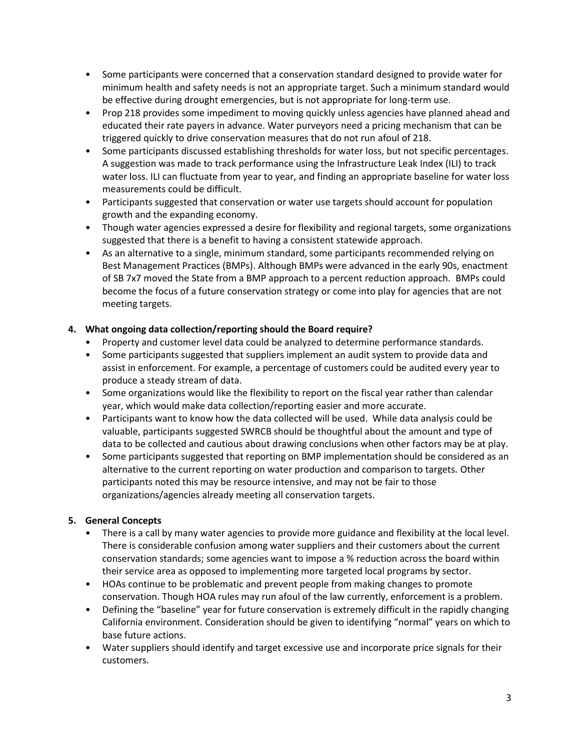- Some participants were concerned that a conservation standard designed to provide water for minimum health and safety needs is not an appropriate target. Such a minimum standard would be effective during drought emergencies, but is not appropriate for long-term use.
- Prop 218 provides some impediment to moving quickly unless agencies have planned ahead and educated their rate payers in advance. Water purveyors need a pricing mechanism that can be triggered quickly to drive conservation measures that do not run afoul of 218.
- Some participants discussed establishing thresholds for water loss, but not specific percentages. A suggestion was made to track performance using the Infrastructure Leak Index (ILI) to track water loss. ILI can fluctuate from year to year, and finding an appropriate baseline for water loss measurements could be difficult.
- Participants suggested that conservation or water use targets should account for population growth and the expanding economy.
- Though water agencies expressed a desire for flexibility and regional targets, some organizations suggested that there is a benefit to having a consistent statewide approach.
- As an alternative to a single, minimum standard, some participants recommended relying on Best Management Practices (BMPs). Although BMPs were advanced in the early 90s, enactment of SB 7x7 moved the State from a BMP approach to a percent reduction approach. BMPs could become the focus of a future conservation strategy or come into play for agencies that are not meeting targets.

# **4. What ongoing data collection/reporting should the Board require?**

- Property and customer level data could be analyzed to determine performance standards.
- Some participants suggested that suppliers implement an audit system to provide data and assist in enforcement. For example, a percentage of customers could be audited every year to produce a steady stream of data.
- Some organizations would like the flexibility to report on the fiscal year rather than calendar year, which would make data collection/reporting easier and more accurate.
- Participants want to know how the data collected will be used. While data analysis could be valuable, participants suggested SWRCB should be thoughtful about the amount and type of data to be collected and cautious about drawing conclusions when other factors may be at play.
- Some participants suggested that reporting on BMP implementation should be considered as an alternative to the current reporting on water production and comparison to targets. Other participants noted this may be resource intensive, and may not be fair to those organizations/agencies already meeting all conservation targets.

# **5. General Concepts**

- There is a call by many water agencies to provide more guidance and flexibility at the local level. There is considerable confusion among water suppliers and their customers about the current conservation standards; some agencies want to impose a % reduction across the board within their service area as opposed to implementing more targeted local programs by sector.
- HOAs continue to be problematic and prevent people from making changes to promote conservation. Though HOA rules may run afoul of the law currently, enforcement is a problem.
- Defining the "baseline" year for future conservation is extremely difficult in the rapidly changing California environment. Consideration should be given to identifying "normal" years on which to base future actions.
- Water suppliers should identify and target excessive use and incorporate price signals for their customers.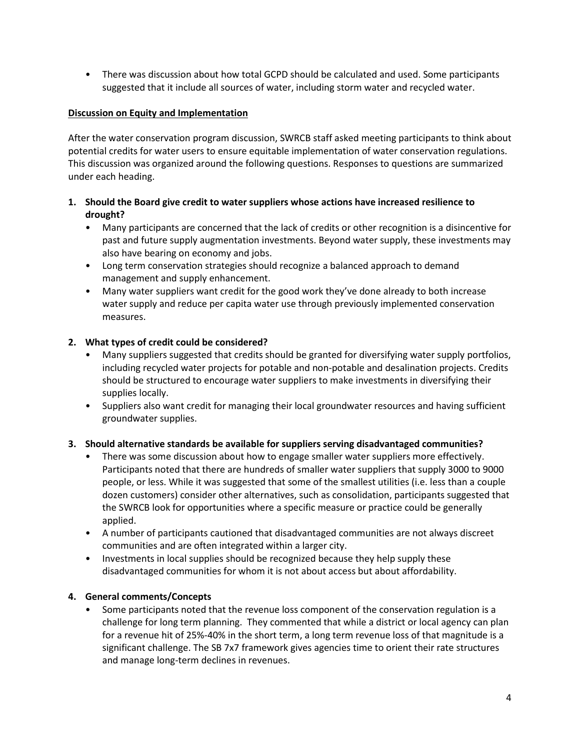• There was discussion about how total GCPD should be calculated and used. Some participants suggested that it include all sources of water, including storm water and recycled water.

## **Discussion on Equity and Implementation**

After the water conservation program discussion, SWRCB staff asked meeting participants to think about potential credits for water users to ensure equitable implementation of water conservation regulations. This discussion was organized around the following questions. Responses to questions are summarized under each heading.

# **1. Should the Board give credit to water suppliers whose actions have increased resilience to drought?**

- Many participants are concerned that the lack of credits or other recognition is a disincentive for past and future supply augmentation investments. Beyond water supply, these investments may also have bearing on economy and jobs.
- Long term conservation strategies should recognize a balanced approach to demand management and supply enhancement.
- Many water suppliers want credit for the good work they've done already to both increase water supply and reduce per capita water use through previously implemented conservation measures.

# **2. What types of credit could be considered?**

- Many suppliers suggested that credits should be granted for diversifying water supply portfolios, including recycled water projects for potable and non-potable and desalination projects. Credits should be structured to encourage water suppliers to make investments in diversifying their supplies locally.
- Suppliers also want credit for managing their local groundwater resources and having sufficient groundwater supplies.

# **3. Should alternative standards be available for suppliers serving disadvantaged communities?**

- There was some discussion about how to engage smaller water suppliers more effectively. Participants noted that there are hundreds of smaller water suppliers that supply 3000 to 9000 people, or less. While it was suggested that some of the smallest utilities (i.e. less than a couple dozen customers) consider other alternatives, such as consolidation, participants suggested that the SWRCB look for opportunities where a specific measure or practice could be generally applied.
- A number of participants cautioned that disadvantaged communities are not always discreet communities and are often integrated within a larger city.
- Investments in local supplies should be recognized because they help supply these disadvantaged communities for whom it is not about access but about affordability.

# **4. General comments/Concepts**

• Some participants noted that the revenue loss component of the conservation regulation is a challenge for long term planning. They commented that while a district or local agency can plan for a revenue hit of 25%-40% in the short term, a long term revenue loss of that magnitude is a significant challenge. The SB 7x7 framework gives agencies time to orient their rate structures and manage long-term declines in revenues.